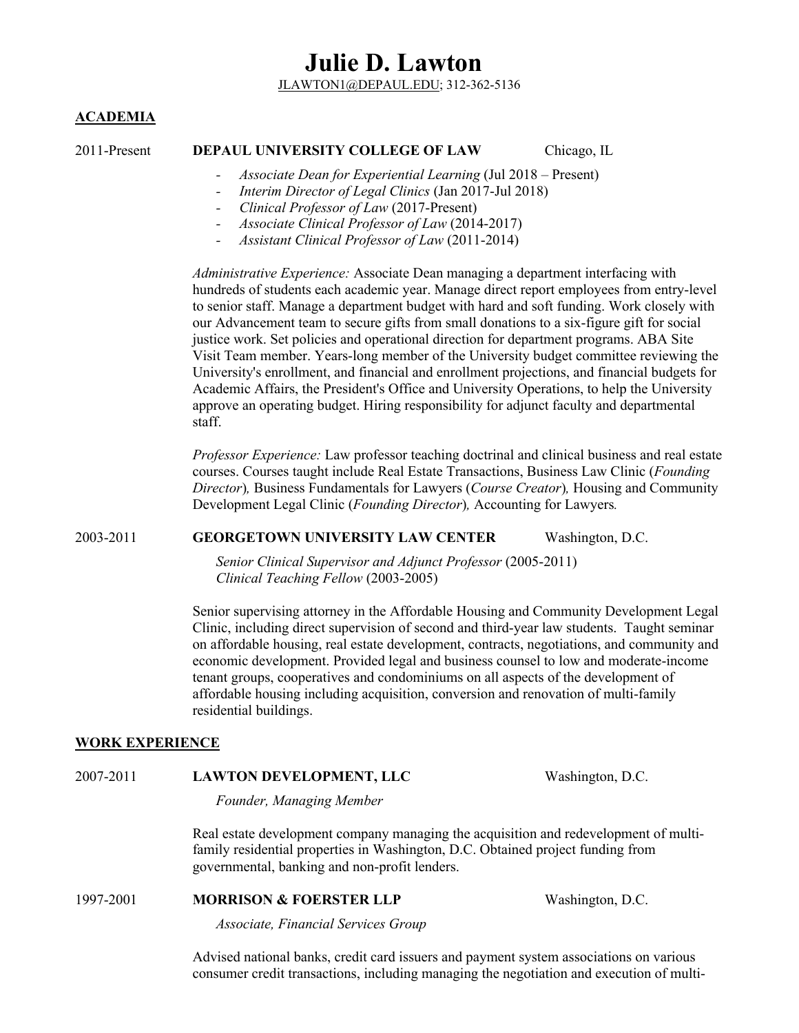JLAWTON1@DEPAUL.EDU; 312-362-5136

#### **ACADEMIA**

#### 2011-Present **DEPAUL UNIVERSITY COLLEGE OF LAW** Chicago, IL

- *- Associate Dean for Experiential Learning* (Jul 2018 Present)
	- *- Interim Director of Legal Clinics* (Jan 2017-Jul 2018)
- *- Clinical Professor of Law* (2017-Present)
- *- Associate Clinical Professor of Law* (2014-2017)
- *- Assistant Clinical Professor of Law* (2011-2014)

*Administrative Experience:* Associate Dean managing a department interfacing with hundreds of students each academic year. Manage direct report employees from entry-level to senior staff. Manage a department budget with hard and soft funding. Work closely with our Advancement team to secure gifts from small donations to a six-figure gift for social justice work. Set policies and operational direction for department programs. ABA Site Visit Team member. Years-long member of the University budget committee reviewing the University's enrollment, and financial and enrollment projections, and financial budgets for Academic Affairs, the President's Office and University Operations, to help the University approve an operating budget. Hiring responsibility for adjunct faculty and departmental staff.

*Professor Experience:* Law professor teaching doctrinal and clinical business and real estate courses. Courses taught include Real Estate Transactions, Business Law Clinic (*Founding Director*)*,* Business Fundamentals for Lawyers (*Course Creator*)*,* Housing and Community Development Legal Clinic (*Founding Director*)*,* Accounting for Lawyers*.*

#### 2003-2011 **GEORGETOWN UNIVERSITY LAW CENTER** Washington, D.C.

*Senior Clinical Supervisor and Adjunct Professor* (2005-2011) *Clinical Teaching Fellow* (2003-2005)

Senior supervising attorney in the Affordable Housing and Community Development Legal Clinic, including direct supervision of second and third-year law students. Taught seminar on affordable housing, real estate development, contracts, negotiations, and community and economic development. Provided legal and business counsel to low and moderate-income tenant groups, cooperatives and condominiums on all aspects of the development of affordable housing including acquisition, conversion and renovation of multi-family residential buildings.

#### **WORK EXPERIENCE**

#### 2007-2011 **LAWTON DEVELOPMENT, LLC** Washington, D.C.

*Founder, Managing Member*

Real estate development company managing the acquisition and redevelopment of multifamily residential properties in Washington, D.C. Obtained project funding from governmental, banking and non-profit lenders.

#### 1997-2001 **MORRISON & FOERSTER LLP** Washington, D.C.

*Associate, Financial Services Group*

Advised national banks, credit card issuers and payment system associations on various consumer credit transactions, including managing the negotiation and execution of multi-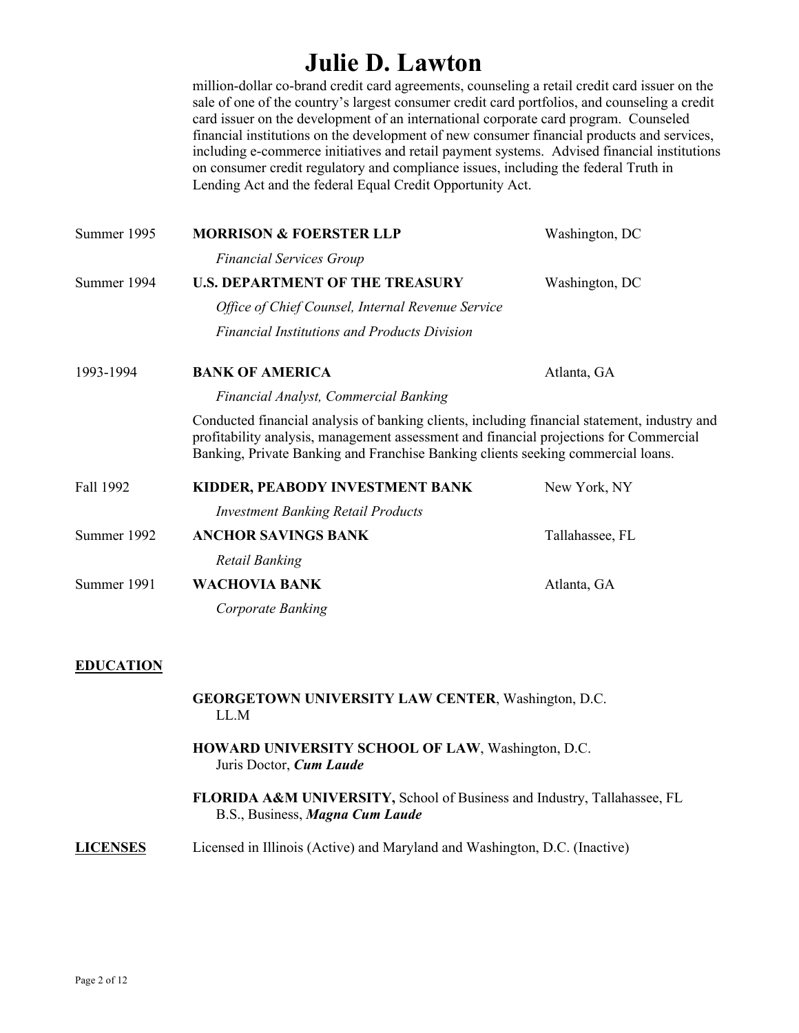million-dollar co-brand credit card agreements, counseling a retail credit card issuer on the sale of one of the country's largest consumer credit card portfolios, and counseling a credit card issuer on the development of an international corporate card program. Counseled financial institutions on the development of new consumer financial products and services, including e-commerce initiatives and retail payment systems. Advised financial institutions on consumer credit regulatory and compliance issues, including the federal Truth in Lending Act and the federal Equal Credit Opportunity Act.

| Summer 1995 | <b>MORRISON &amp; FOERSTER LLP</b>                                                                                                                                                                                                                                         | Washington, DC  |
|-------------|----------------------------------------------------------------------------------------------------------------------------------------------------------------------------------------------------------------------------------------------------------------------------|-----------------|
|             | <b>Financial Services Group</b>                                                                                                                                                                                                                                            |                 |
| Summer 1994 | <b>U.S. DEPARTMENT OF THE TREASURY</b>                                                                                                                                                                                                                                     | Washington, DC  |
|             | Office of Chief Counsel, Internal Revenue Service                                                                                                                                                                                                                          |                 |
|             | <b>Financial Institutions and Products Division</b>                                                                                                                                                                                                                        |                 |
| 1993-1994   | <b>BANK OF AMERICA</b>                                                                                                                                                                                                                                                     | Atlanta, GA     |
|             | Financial Analyst, Commercial Banking                                                                                                                                                                                                                                      |                 |
|             | Conducted financial analysis of banking clients, including financial statement, industry and<br>profitability analysis, management assessment and financial projections for Commercial<br>Banking, Private Banking and Franchise Banking clients seeking commercial loans. |                 |
| Fall 1992   | KIDDER, PEABODY INVESTMENT BANK<br><b>Investment Banking Retail Products</b>                                                                                                                                                                                               | New York, NY    |
| Summer 1992 | <b>ANCHOR SAVINGS BANK</b>                                                                                                                                                                                                                                                 | Tallahassee, FL |
|             | Retail Banking                                                                                                                                                                                                                                                             |                 |
| Summer 1991 | <b>WACHOVIA BANK</b>                                                                                                                                                                                                                                                       | Atlanta, GA     |
|             | Corporate Banking                                                                                                                                                                                                                                                          |                 |
|             |                                                                                                                                                                                                                                                                            |                 |

#### **EDUCATION**

**GEORGETOWN UNIVERSITY LAW CENTER**, Washington, D.C. LL.M

- **HOWARD UNIVERSITY SCHOOL OF LAW**, Washington, D.C. Juris Doctor, *Cum Laude*
- **FLORIDA A&M UNIVERSITY,** School of Business and Industry, Tallahassee, FL B.S., Business, *Magna Cum Laude*

#### **LICENSES** Licensed in Illinois (Active) and Maryland and Washington, D.C. (Inactive)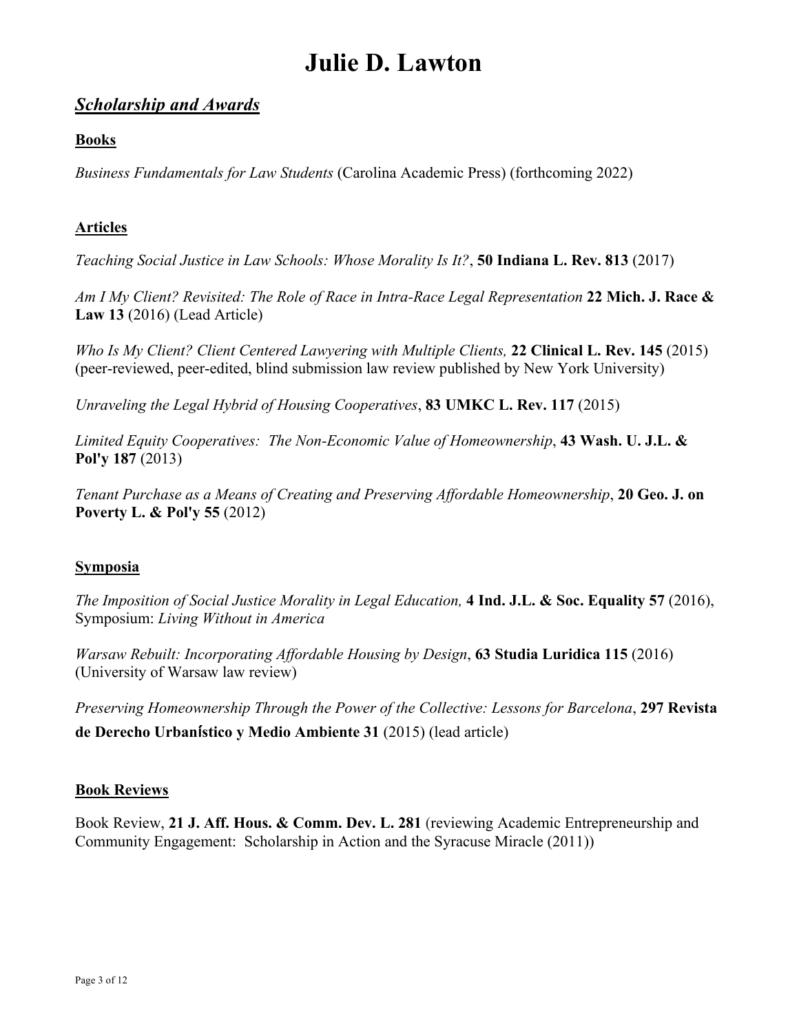### *Scholarship and Awards*

### **Books**

*Business Fundamentals for Law Students* (Carolina Academic Press) (forthcoming 2022)

### **Articles**

*Teaching Social Justice in Law Schools: Whose Morality Is It?*, **50 Indiana L. Rev. 813** (2017)

*Am I My Client? Revisited: The Role of Race in Intra-Race Legal Representation* **22 Mich. J. Race & Law 13** (2016) (Lead Article)

*Who Is My Client? Client Centered Lawyering with Multiple Clients,* **22 Clinical L. Rev. 145** (2015) (peer-reviewed, peer-edited, blind submission law review published by New York University)

*Unraveling the Legal Hybrid of Housing Cooperatives*, **83 UMKC L. Rev. 117** (2015)

*Limited Equity Cooperatives: The Non-Economic Value of Homeownership*, **43 Wash. U. J.L. & Pol'y 187** (2013)

*Tenant Purchase as a Means of Creating and Preserving Affordable Homeownership*, **20 Geo. J. on Poverty L. & Pol'y 55** (2012)

#### **Symposia**

*The Imposition of Social Justice Morality in Legal Education,* **4 Ind. J.L. & Soc. Equality 57** (2016), Symposium: *Living Without in America*

*Warsaw Rebuilt: Incorporating Affordable Housing by Design*, **63 Studia Luridica 115** (2016) (University of Warsaw law review)

*Preserving Homeownership Through the Power of the Collective: Lessons for Barcelona*, **297 Revista de Derecho Urban**!**stico y Medio Ambiente 31** (2015) (lead article)

#### **Book Reviews**

Book Review, **21 J. Aff. Hous. & Comm. Dev. L. 281** (reviewing Academic Entrepreneurship and Community Engagement: Scholarship in Action and the Syracuse Miracle (2011))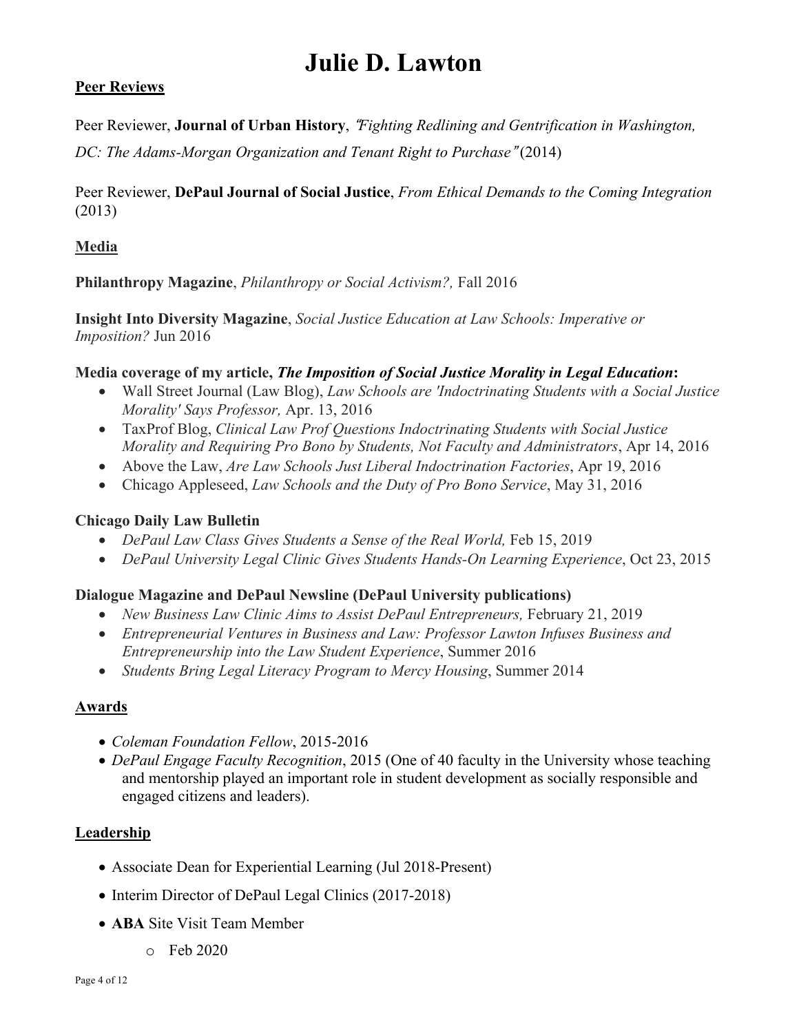#### **Peer Reviews**

Peer Reviewer, **Journal of Urban History**, "*Fighting Redlining and Gentrification in Washington,*

*DC: The Adams-Morgan Organization and Tenant Right to Purchase*"(2014)

Peer Reviewer, **DePaul Journal of Social Justice**, *From Ethical Demands to the Coming Integration* (2013)

### **Media**

**Philanthropy Magazine**, *Philanthropy or Social Activism?,* Fall 2016

**Insight Into Diversity Magazine**, *Social Justice Education at Law Schools: Imperative or Imposition?* Jun 2016

#### **Media coverage of my article,** *The Imposition of Social Justice Morality in Legal Education***:**

- Wall Street Journal (Law Blog), *Law Schools are 'Indoctrinating Students with a Social Justice Morality' Says Professor,* Apr. 13, 2016
- TaxProf Blog, *Clinical Law Prof Questions Indoctrinating Students with Social Justice Morality and Requiring Pro Bono by Students, Not Faculty and Administrators*, Apr 14, 2016
- Above the Law, *Are Law Schools Just Liberal Indoctrination Factories*, Apr 19, 2016
- Chicago Appleseed, *Law Schools and the Duty of Pro Bono Service*, May 31, 2016

#### **Chicago Daily Law Bulletin**

- *DePaul Law Class Gives Students a Sense of the Real World,* Feb 15, 2019
- *DePaul University Legal Clinic Gives Students Hands-On Learning Experience*, Oct 23, 2015

#### **Dialogue Magazine and DePaul Newsline (DePaul University publications)**

- *New Business Law Clinic Aims to Assist DePaul Entrepreneurs,* February 21, 2019
- *Entrepreneurial Ventures in Business and Law: Professor Lawton Infuses Business and Entrepreneurship into the Law Student Experience*, Summer 2016
- *Students Bring Legal Literacy Program to Mercy Housing*, Summer 2014

#### **Awards**

- *Coleman Foundation Fellow*, 2015-2016
- *DePaul Engage Faculty Recognition*, 2015 (One of 40 faculty in the University whose teaching and mentorship played an important role in student development as socially responsible and engaged citizens and leaders).

#### **Leadership**

- Associate Dean for Experiential Learning (Jul 2018-Present)
- Interim Director of DePaul Legal Clinics (2017-2018)
- **ABA** Site Visit Team Member
	- o Feb 2020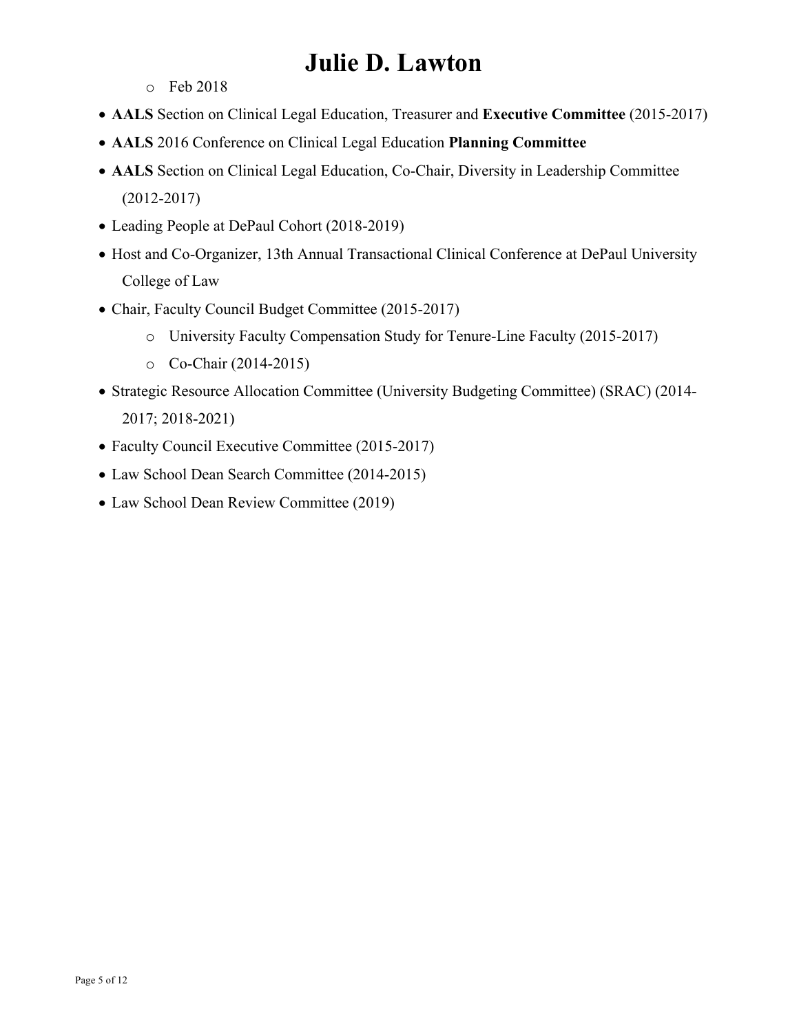- o Feb 2018
- **AALS** Section on Clinical Legal Education, Treasurer and **Executive Committee** (2015-2017)
- **AALS** 2016 Conference on Clinical Legal Education **Planning Committee**
- **AALS** Section on Clinical Legal Education, Co-Chair, Diversity in Leadership Committee (2012-2017)
- Leading People at DePaul Cohort (2018-2019)
- Host and Co-Organizer, 13th Annual Transactional Clinical Conference at DePaul University College of Law
- Chair, Faculty Council Budget Committee (2015-2017)
	- o University Faculty Compensation Study for Tenure-Line Faculty (2015-2017)
	- o Co-Chair (2014-2015)
- Strategic Resource Allocation Committee (University Budgeting Committee) (SRAC) (2014- 2017; 2018-2021)
- Faculty Council Executive Committee (2015-2017)
- Law School Dean Search Committee (2014-2015)
- Law School Dean Review Committee (2019)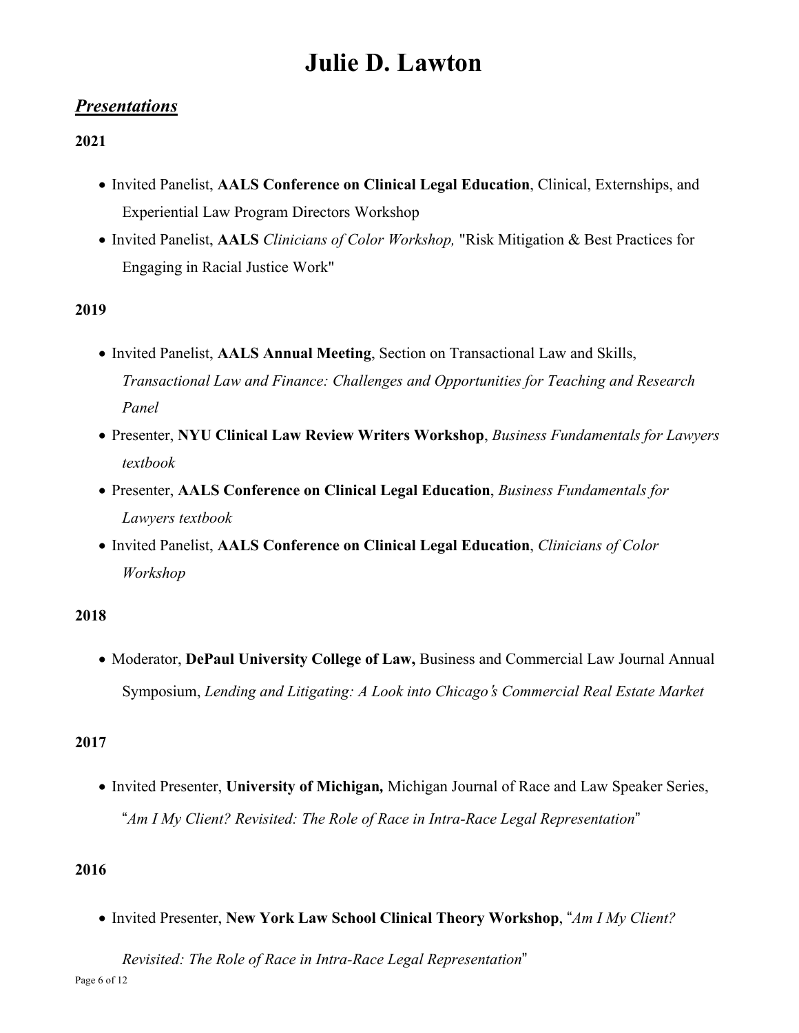### *Presentations*

### **2021**

- Invited Panelist, **AALS Conference on Clinical Legal Education**, Clinical, Externships, and Experiential Law Program Directors Workshop
- Invited Panelist, **AALS** *Clinicians of Color Workshop,* "Risk Mitigation & Best Practices for Engaging in Racial Justice Work"

### **2019**

- Invited Panelist, **AALS Annual Meeting**, Section on Transactional Law and Skills, *Transactional Law and Finance: Challenges and Opportunities for Teaching and Research Panel*
- Presenter, **NYU Clinical Law Review Writers Workshop**, *Business Fundamentals for Lawyers textbook*
- Presenter, **AALS Conference on Clinical Legal Education**, *Business Fundamentals for Lawyers textbook*
- Invited Panelist, **AALS Conference on Clinical Legal Education**, *Clinicians of Color Workshop*

#### **2018**

• Moderator, **DePaul University College of Law,** Business and Commercial Law Journal Annual Symposium, *Lending and Litigating: A Look into Chicago*\$*s Commercial Real Estate Market*

#### **2017**

• Invited Presenter, **University of Michigan***,* Michigan Journal of Race and Law Speaker Series, "Am I My Client? Revisited: The Role of Race in Intra-Race Legal Representation"

#### **2016**

• Invited Presenter, **New York Law School Clinical Theory Workshop**, "*Am I My Client?*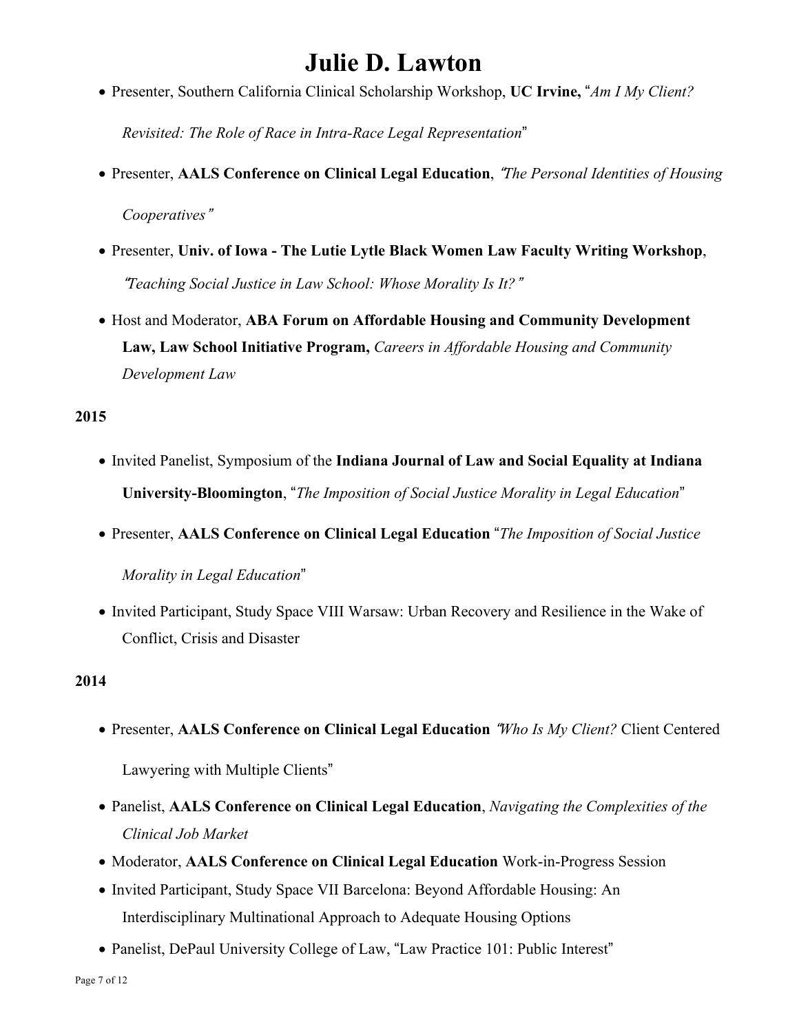• Presenter, Southern California Clinical Scholarship Workshop, **UC Irvine,** "*Am I My Client?*

*Revisited: The Role of Race in Intra-Race Legal Representation*"

- Presenter, **AALS Conference on Clinical Legal Education**, "*The Personal Identities of Housing* Cooperatives"
- Presenter, **Univ. of Iowa - The Lutie Lytle Black Women Law Faculty Writing Workshop**, "*Teaching Social Justice in Law School: Whose Morality Is It?*#
- Host and Moderator, **ABA Forum on Affordable Housing and Community Development Law, Law School Initiative Program,** *Careers in Affordable Housing and Community Development Law*

### **2015**

- Invited Panelist, Symposium of the **Indiana Journal of Law and Social Equality at Indiana University-Bloomington**, "*The Imposition of Social Justice Morality in Legal Education*"
- Presenter, **AALS Conference on Clinical Legal Education** "*The Imposition of Social Justice Morality in Legal Education*"
- Invited Participant, Study Space VIII Warsaw: Urban Recovery and Resilience in the Wake of Conflict, Crisis and Disaster

#### **2014**

- Presenter, **AALS Conference on Clinical Legal Education** "*Who Is My Client?* Client Centered Lawyering with Multiple Clients"
- Panelist, **AALS Conference on Clinical Legal Education**, *Navigating the Complexities of the Clinical Job Market*
- Moderator, **AALS Conference on Clinical Legal Education** Work-in-Progress Session
- Invited Participant, Study Space VII Barcelona: Beyond Affordable Housing: An Interdisciplinary Multinational Approach to Adequate Housing Options
- Panelist, DePaul University College of Law, "Law Practice 101: Public Interest"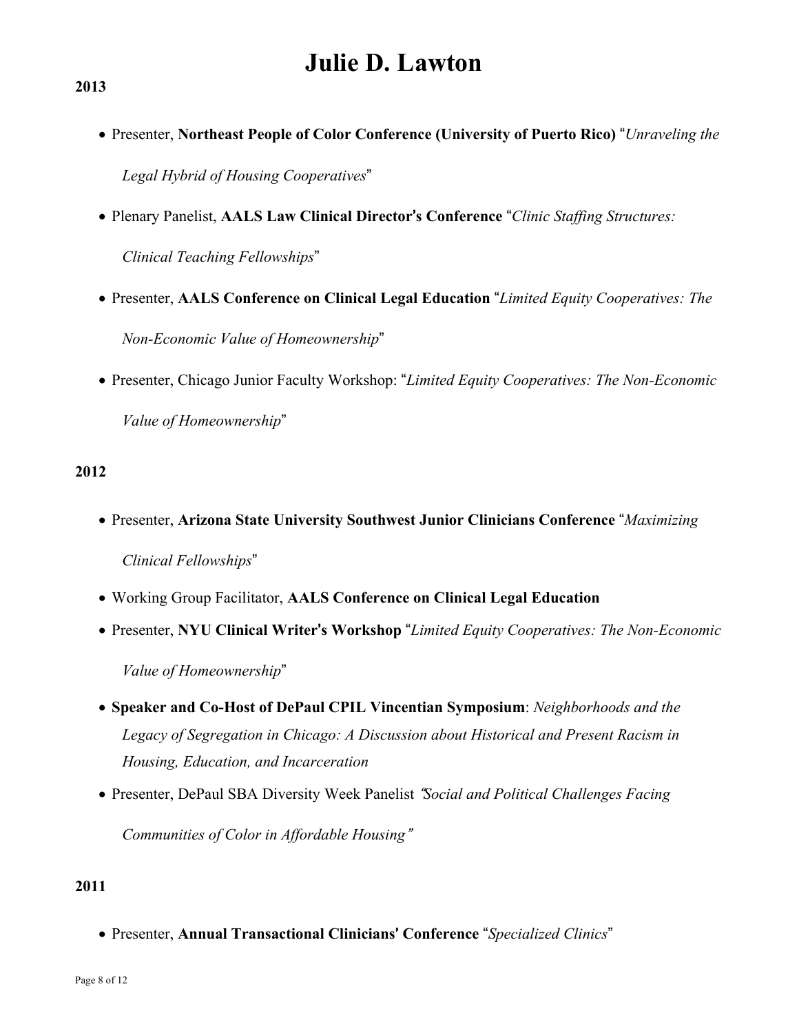• Presenter, **Northeast People of Color Conference (University of Puerto Rico)** "*Unraveling the*

 $Legal$  *Hybrid of Housing Cooperatives*"

- Plenary Panelist, **AALS Law Clinical Director**\$**s Conference** "*Clinic Staffing Structures:*  $Clinical Teaching Fellowship"$
- Presenter, **AALS Conference on Clinical Legal Education** "*Limited Equity Cooperatives: The*  $Non-Economic$  *Value of Homeownership*"
- Presenter, Chicago Junior Faculty Workshop: "*Limited Equity Cooperatives: The Non-Economic Value* of *Homeownership*"

#### **2012**

- Presenter, **Arizona State University Southwest Junior Clinicians Conference** "*Maximizing*  $Clinical$  *Fellowships*"
- Working Group Facilitator, **AALS Conference on Clinical Legal Education**
- Presenter, **NYU Clinical Writer**\$**s Workshop** "*Limited Equity Cooperatives: The Non-Economic*

*Value* of *Homeownership*"

- **Speaker and Co-Host of DePaul CPIL Vincentian Symposium**: *Neighborhoods and the Legacy of Segregation in Chicago: A Discussion about Historical and Present Racism in Housing, Education, and Incarceration*
- Presenter, DePaul SBA Diversity Week Panelist "*Social and Political Challenges Facing Communities of Color in Affordable Housing*"

#### **2011**

• Presenter, Annual Transactional Clinicians' Conference "Specialized Clinics"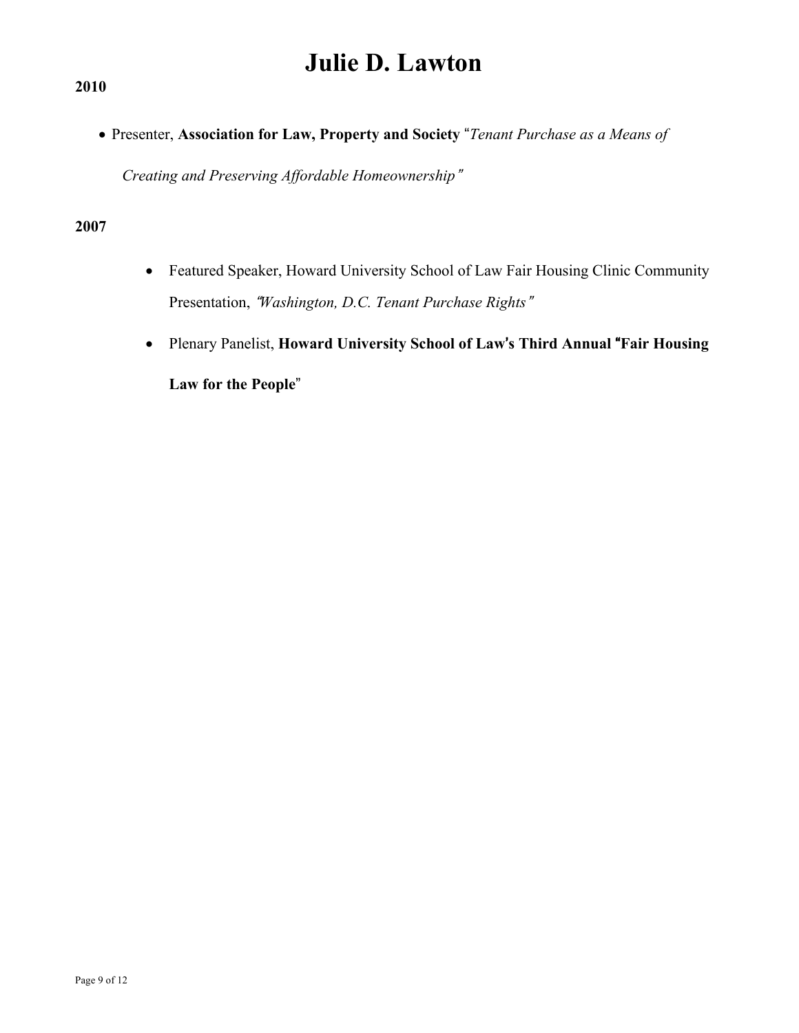**2010**

• Presenter, **Association for Law, Property and Society** "*Tenant Purchase as a Means of*

 $C$ reating and Preserving *Affordable Homeownership*"

#### **2007**

- Featured Speaker, Howard University School of Law Fair Housing Clinic Community **Presentation, "Washington, D.C. Tenant Purchase Rights"**
- Plenary Panelist, **Howard University School of Law**\$**s Third Annual** "**Fair Housing** Law for the People"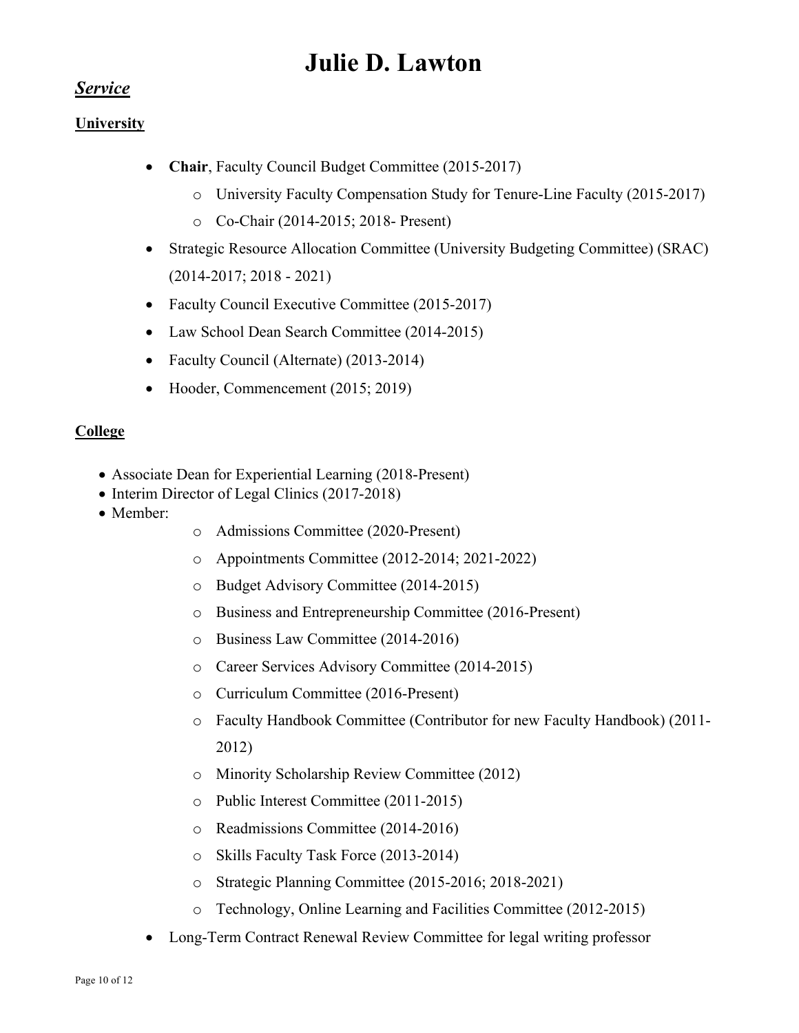### *Service*

### **University**

- **Chair**, Faculty Council Budget Committee (2015-2017)
	- o University Faculty Compensation Study for Tenure-Line Faculty (2015-2017)
	- o Co-Chair (2014-2015; 2018- Present)
- Strategic Resource Allocation Committee (University Budgeting Committee) (SRAC) (2014-2017; 2018 - 2021)
- Faculty Council Executive Committee (2015-2017)
- Law School Dean Search Committee (2014-2015)
- Faculty Council (Alternate) (2013-2014)
- Hooder, Commencement (2015; 2019)

### **College**

- Associate Dean for Experiential Learning (2018-Present)
- Interim Director of Legal Clinics (2017-2018)
- Member:
- o Admissions Committee (2020-Present)
- o Appointments Committee (2012-2014; 2021-2022)
- o Budget Advisory Committee (2014-2015)
- o Business and Entrepreneurship Committee (2016-Present)
- o Business Law Committee (2014-2016)
- o Career Services Advisory Committee (2014-2015)
- o Curriculum Committee (2016-Present)
- o Faculty Handbook Committee (Contributor for new Faculty Handbook) (2011- 2012)
- o Minority Scholarship Review Committee (2012)
- o Public Interest Committee (2011-2015)
- o Readmissions Committee (2014-2016)
- o Skills Faculty Task Force (2013-2014)
- o Strategic Planning Committee (2015-2016; 2018-2021)
- o Technology, Online Learning and Facilities Committee (2012-2015)
- Long-Term Contract Renewal Review Committee for legal writing professor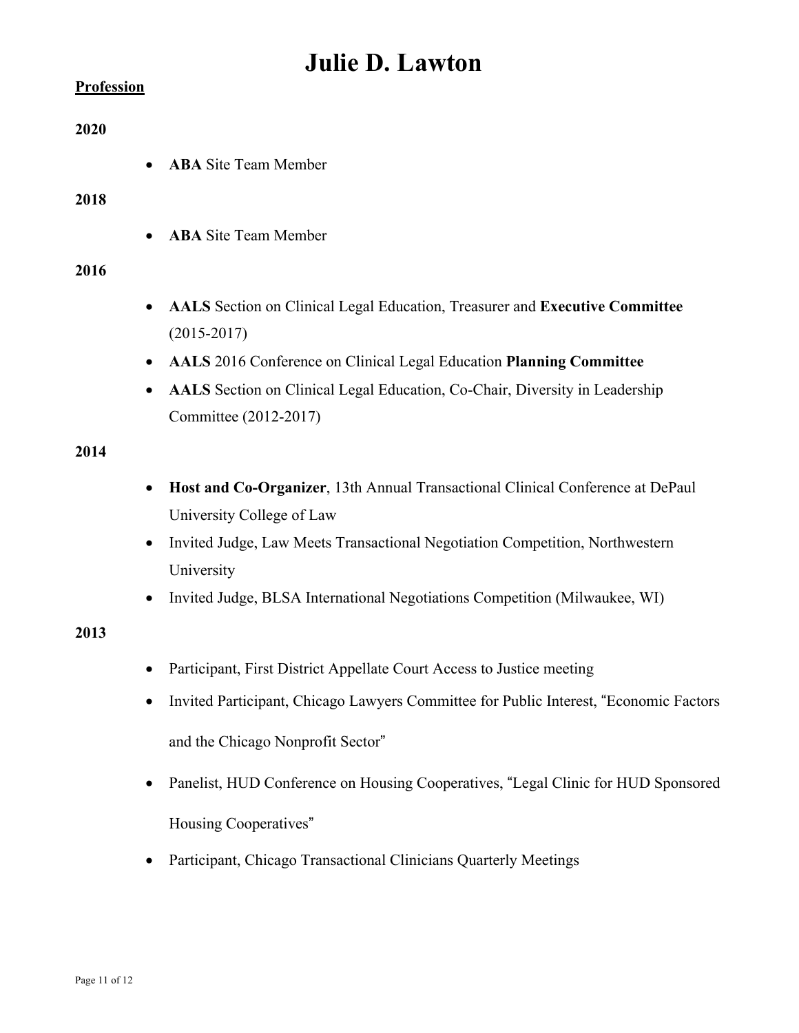#### **Profession**

#### **2020**

• **ABA** Site Team Member

#### **2018**

• **ABA** Site Team Member

#### **2016**

- **AALS** Section on Clinical Legal Education, Treasurer and **Executive Committee** (2015-2017)
- **AALS** 2016 Conference on Clinical Legal Education **Planning Committee**
- **AALS** Section on Clinical Legal Education, Co-Chair, Diversity in Leadership Committee (2012-2017)

#### **2014**

- **Host and Co-Organizer**, 13th Annual Transactional Clinical Conference at DePaul University College of Law
- Invited Judge, Law Meets Transactional Negotiation Competition, Northwestern University
- Invited Judge, BLSA International Negotiations Competition (Milwaukee, WI)

### **2013**

- Participant, First District Appellate Court Access to Justice meeting
- Invited Participant, Chicago Lawyers Committee for Public Interest, "Economic Factors and the Chicago Nonprofit Sector"
- Panelist, HUD Conference on Housing Cooperatives, "Legal Clinic for HUD Sponsored Housing Cooperatives"
- Participant, Chicago Transactional Clinicians Quarterly Meetings